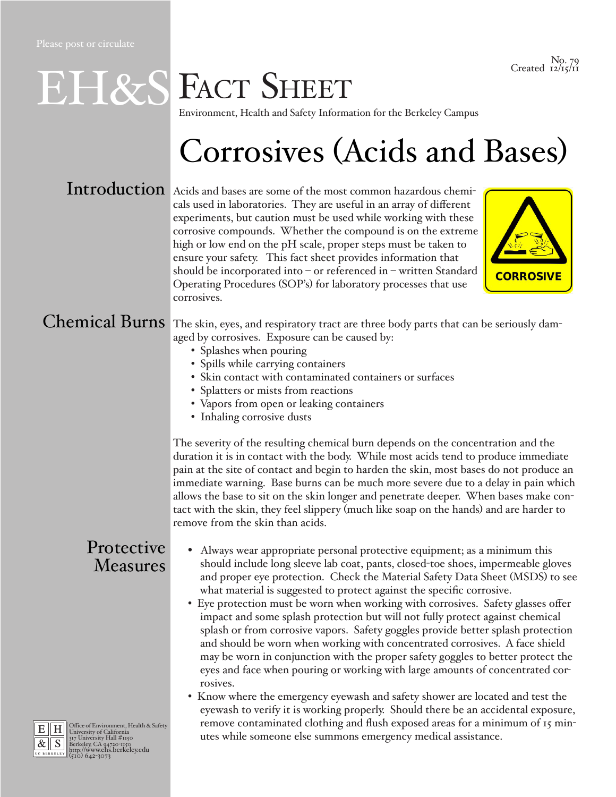No. 79 Created  $\frac{1}{2}\frac{1}{15}$ /11

# EH&S FACT SHEET

Environment, Health and Safety Information for the Berkeley Campus

### Corrosives (Acids and Bases)

Introduction Acids and bases are some of the most common hazardous chemicals used in laboratories. They are useful in an array of different experiments, but caution must be used while working with these corrosive compounds. Whether the compound is on the extreme high or low end on the pH scale, proper steps must be taken to ensure your safety. This fact sheet provides information that should be incorporated into – or referenced in – written Standard Operating Procedures (SOP's) for laboratory processes that use corrosives.



#### Chemical Burns

The skin, eyes, and respiratory tract are three body parts that can be seriously damaged by corrosives. Exposure can be caused by:

- Splashes when pouring
- Spills while carrying containers
- Skin contact with contaminated containers or surfaces
- Splatters or mists from reactions
- Vapors from open or leaking containers
- Inhaling corrosive dusts

The severity of the resulting chemical burn depends on the concentration and the duration it is in contact with the body. While most acids tend to produce immediate pain at the site of contact and begin to harden the skin, most bases do not produce an immediate warning. Base burns can be much more severe due to a delay in pain which allows the base to sit on the skin longer and penetrate deeper. When bases make contact with the skin, they feel slippery (much like soap on the hands) and are harder to remove from the skin than acids.

#### Protective Measures

- Always wear appropriate personal protective equipment; as a minimum this should include long sleeve lab coat, pants, closed-toe shoes, impermeable gloves and proper eye protection. Check the Material Safety Data Sheet (MSDS) to see what material is suggested to protect against the specific corrosive.
- Eye protection must be worn when working with corrosives. Safety glasses offer impact and some splash protection but will not fully protect against chemical splash or from corrosive vapors. Safety goggles provide better splash protection and should be worn when working with concentrated corrosives. A face shield may be worn in conjunction with the proper safety goggles to better protect the eyes and face when pouring or working with large amounts of concentrated corrosives.
- Know where the emergency eyewash and safety shower are located and test the eyewash to verify it is working properly. Should there be an accidental exposure, remove contaminated clothing and flush exposed areas for a minimum of 15 minutes while someone else summons emergency medical assistance.



E H Office of Environment, Health & Safety<br>  $\frac{R}{\mathcal{R}}$  S Berkeley, CA 94720-1150<br> **BERKELEY, CA 94720-1150**<br> **BERKELEY, CA 94720-1150**<br> **BERKELEY (510) 642-3073**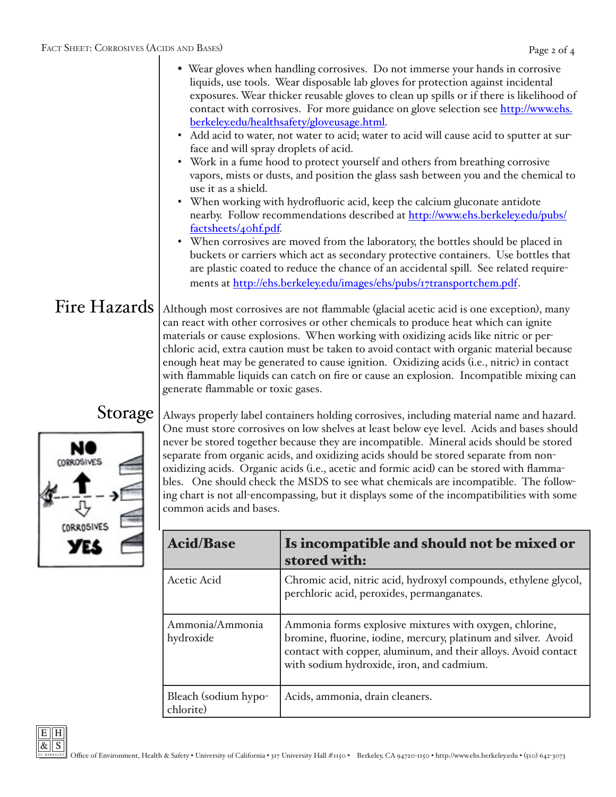- Wear gloves when handling corrosives. Do not immerse your hands in corrosive liquids, use tools. Wear disposable lab gloves for protection against incidental exposures. Wear thicker reusable gloves to clean up spills or if there is likelihood of contact with corrosives. For more guidance on glove selection see [http://www.ehs.](http://www.ehs.berkeley.edu/healthsafety/gloveusage.html) [berkeley.edu/healthsafety/gloveusage.html.](http://www.ehs.berkeley.edu/healthsafety/gloveusage.html)
- Add acid to water, not water to acid; water to acid will cause acid to sputter at surface and will spray droplets of acid.
- Work in a fume hood to protect yourself and others from breathing corrosive vapors, mists or dusts, and position the glass sash between you and the chemical to use it as a shield.
- When working with hydrofluoric acid, keep the calcium gluconate antidote nearby. Follow recommendations described at [http://www.ehs.berkeley.edu/pubs/](http://www.ehs.berkeley.edu/images/ehs/pubs/40hf.pdf) [factsheets/40hf.pdf.](http://www.ehs.berkeley.edu/images/ehs/pubs/40hf.pdf)
- When corrosives are moved from the laboratory, the bottles should be placed in buckets or carriers which act as secondary protective containers. Use bottles that are plastic coated to reduce the chance of an accidental spill. See related requirements at <http://ehs.berkeley.edu/images/ehs/pubs/17transportchem.pdf>.

### Fire Hazards

Although most corrosives are not flammable (glacial acetic acid is one exception), many can react with other corrosives or other chemicals to produce heat which can ignite materials or cause explosions. When working with oxidizing acids like nitric or perchloric acid, extra caution must be taken to avoid contact with organic material because enough heat may be generated to cause ignition. Oxidizing acids (i.e., nitric) in contact with flammable liquids can catch on fire or cause an explosion. Incompatible mixing can generate flammable or toxic gases.

#### Storage



Always properly label containers holding corrosives, including material name and hazard. One must store corrosives on low shelves at least below eye level. Acids and bases should never be stored together because they are incompatible. Mineral acids should be stored separate from organic acids, and oxidizing acids should be stored separate from nonoxidizing acids. Organic acids (i.e., acetic and formic acid) can be stored with flammables. One should check the MSDS to see what chemicals are incompatible. The following chart is not all-encompassing, but it displays some of the incompatibilities with some common acids and bases.

| <b>Acid/Base</b>                  | Is incompatible and should not be mixed or<br>stored with:                                                                                                                                                                               |
|-----------------------------------|------------------------------------------------------------------------------------------------------------------------------------------------------------------------------------------------------------------------------------------|
| <b>Acetic Acid</b>                | Chromic acid, nitric acid, hydroxyl compounds, ethylene glycol,<br>perchloric acid, peroxides, permanganates.                                                                                                                            |
| Ammonia/Ammonia<br>hydroxide      | Ammonia forms explosive mixtures with oxygen, chlorine,<br>bromine, fluorine, iodine, mercury, platinum and silver. Avoid<br>contact with copper, aluminum, and their alloys. Avoid contact<br>with sodium hydroxide, iron, and cadmium. |
| Bleach (sodium hypo-<br>chlorite) | Acids, ammonia, drain cleaners.                                                                                                                                                                                                          |

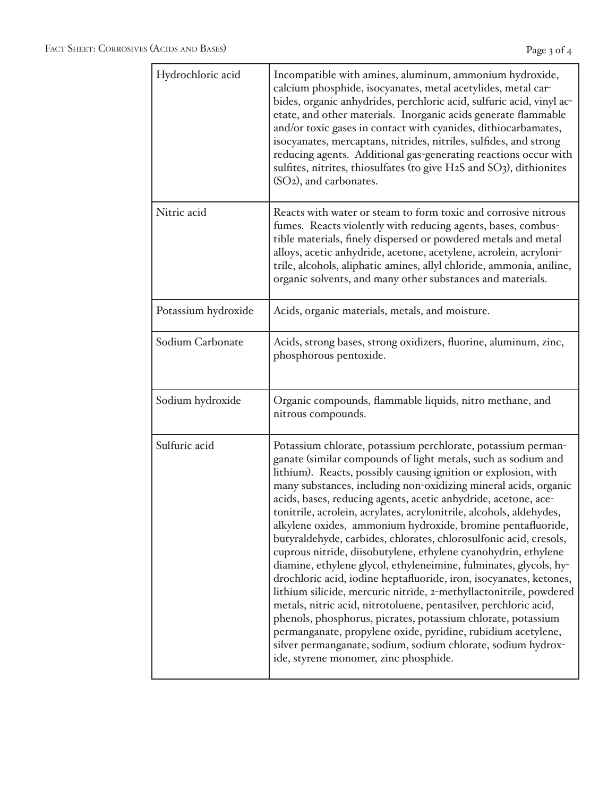| Hydrochloric acid   | Incompatible with amines, aluminum, ammonium hydroxide,<br>calcium phosphide, isocyanates, metal acetylides, metal car-<br>bides, organic anhydrides, perchloric acid, sulfuric acid, vinyl ac-<br>etate, and other materials. Inorganic acids generate flammable<br>and/or toxic gases in contact with cyanides, dithiocarbamates,<br>isocyanates, mercaptans, nitrides, nitriles, sulfides, and strong<br>reducing agents. Additional gas-generating reactions occur with<br>sulfites, nitrites, thiosulfates (to give H2S and SO3), dithionites<br>(SO <sub>2</sub> ), and carbonates.                                                                                                                                                                                                                                                                                                                                                                                                                                                                                                                                                       |
|---------------------|-------------------------------------------------------------------------------------------------------------------------------------------------------------------------------------------------------------------------------------------------------------------------------------------------------------------------------------------------------------------------------------------------------------------------------------------------------------------------------------------------------------------------------------------------------------------------------------------------------------------------------------------------------------------------------------------------------------------------------------------------------------------------------------------------------------------------------------------------------------------------------------------------------------------------------------------------------------------------------------------------------------------------------------------------------------------------------------------------------------------------------------------------|
| Nitric acid         | Reacts with water or steam to form toxic and corrosive nitrous<br>fumes. Reacts violently with reducing agents, bases, combus-<br>tible materials, finely dispersed or powdered metals and metal<br>alloys, acetic anhydride, acetone, acetylene, acrolein, acryloni-<br>trile, alcohols, aliphatic amines, allyl chloride, ammonia, aniline,<br>organic solvents, and many other substances and materials.                                                                                                                                                                                                                                                                                                                                                                                                                                                                                                                                                                                                                                                                                                                                     |
| Potassium hydroxide | Acids, organic materials, metals, and moisture.                                                                                                                                                                                                                                                                                                                                                                                                                                                                                                                                                                                                                                                                                                                                                                                                                                                                                                                                                                                                                                                                                                 |
| Sodium Carbonate    | Acids, strong bases, strong oxidizers, fluorine, aluminum, zinc,<br>phosphorous pentoxide.                                                                                                                                                                                                                                                                                                                                                                                                                                                                                                                                                                                                                                                                                                                                                                                                                                                                                                                                                                                                                                                      |
| Sodium hydroxide    | Organic compounds, flammable liquids, nitro methane, and<br>nitrous compounds.                                                                                                                                                                                                                                                                                                                                                                                                                                                                                                                                                                                                                                                                                                                                                                                                                                                                                                                                                                                                                                                                  |
| Sulfuric acid       | Potassium chlorate, potassium perchlorate, potassium perman-<br>ganate (similar compounds of light metals, such as sodium and<br>lithium). Reacts, possibly causing ignition or explosion, with<br>many substances, including non-oxidizing mineral acids, organic<br>acids, bases, reducing agents, acetic anhydride, acetone, ace-<br>tonitrile, acrolein, acrylates, acrylonitrile, alcohols, aldehydes,<br>alkylene oxides, ammonium hydroxide, bromine pentafluoride,<br>butyraldehyde, carbides, chlorates, chlorosulfonic acid, cresols,<br>cuprous nitride, diisobutylene, ethylene cyanohydrin, ethylene<br>diamine, ethylene glycol, ethyleneimine, fulminates, glycols, hy-<br>drochloric acid, iodine heptafluoride, iron, isocyanates, ketones,<br>lithium silicide, mercuric nitride, 2-methyllactonitrile, powdered<br>metals, nitric acid, nitrotoluene, pentasilver, perchloric acid,<br>phenols, phosphorus, picrates, potassium chlorate, potassium<br>permanganate, propylene oxide, pyridine, rubidium acetylene,<br>silver permanganate, sodium, sodium chlorate, sodium hydrox-<br>ide, styrene monomer, zinc phosphide. |